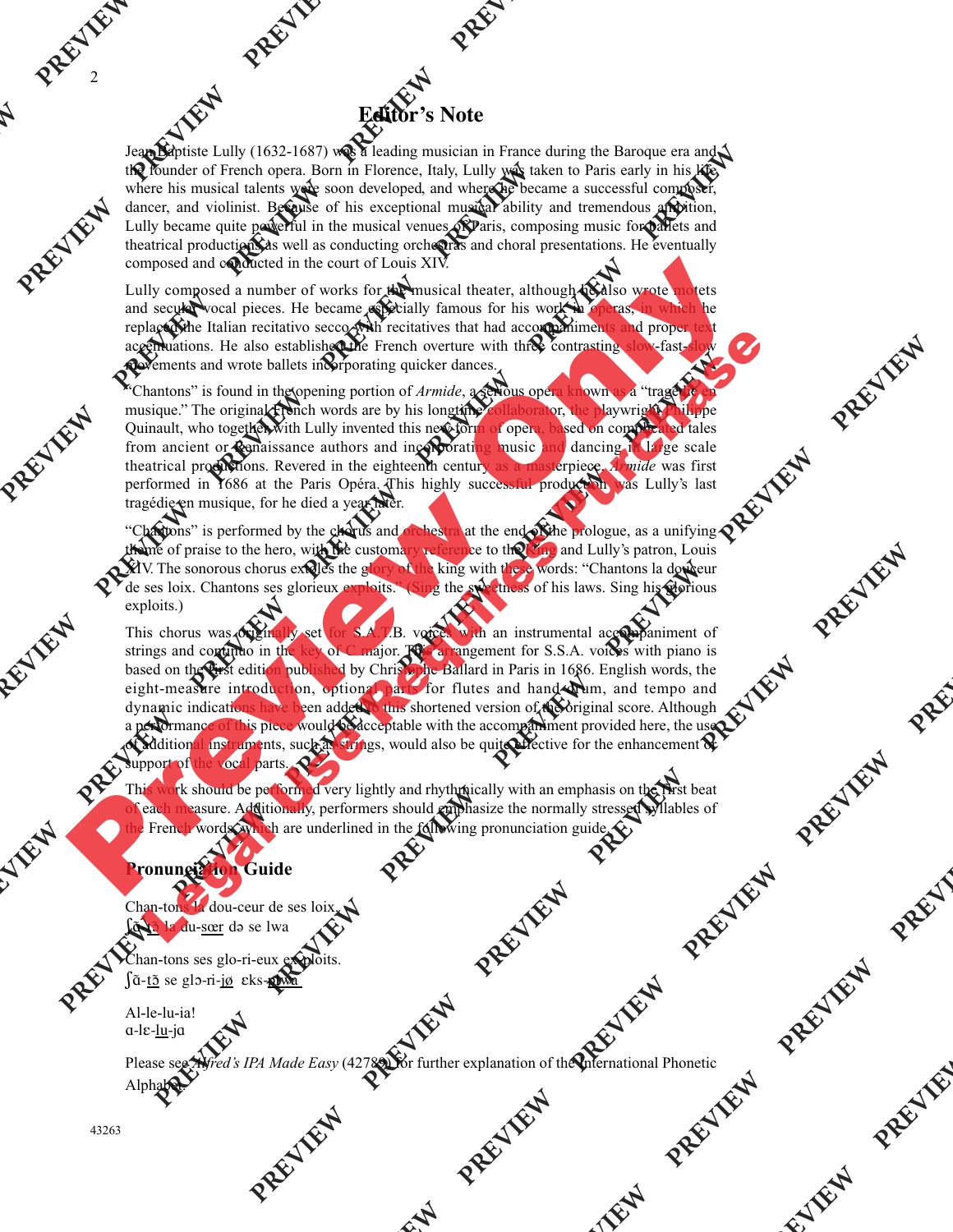## **Editor's Note**

Jean Baptiste Lully (1632-1687) was a leading musician in France during the Baroque era and the founder of French opera. Born in Florence, Italy, Lully was taken to Paris early in his life where his musical talents were soon developed, and where he became a successful composer, dancer, and violinist. Because of his exceptional musical ability and tremendous ambition, Lully became quite powerful in the musical venues of Paris, composing music for ballets and theatrical productions as well as conducting orchestras and choral presentations. He eventually composed and conducted in the court of Louis XIV.

Lully composed a number of works for the musical theater, although he also wrote motets and secular vocal pieces. He became especially famous for his work in operas, in which he replaced the Italian recitativo secco with recitatives that had accompaniments and proper accentuations. He also established the French overture with three contrasting slow-fastmovements and wrote ballets incorporating quicker dances.

"Chantons" is found in the opening portion of *Armide*, a serious opera known as a "tragédie" musique." The original French words are by his longtime collaborator, the playwright Philippe Quinault, who together with Lully invented this new form of opera, based on complicated tales from ancient or Renaissance authors and incorporating music and dancing in large scale theatrical productions. Revered in the eighteenth century as a masterpiece, *Armide* was first performed in 1686 at the Paris Opéra. This highly successful production was Lully's last tragédie en musique, for he died a year later. **PEREVIEW PREVIEW PREVIEW PREVIEW PREVIEW PREVIEW PREVIEW PREVIEW PREVIEW PREVIEW PREVIEW PREVIEW PREVIEW PREVIEW PREVIEW PREVIEW PREVIEW PREVIEW PREVIEW PREVIEW PREVIEW PREVIEW PEREVIEW PREVIEW PREVIEW PREVIEW PREVIEW** THE founder of French operator and valid it states were soon development dancer, and violinist. Because of his exceptible composed and conductions as well as conducting co **PERIOD PREVIEW (1632-1687)** was leading musticure in France during the formula period on the formula period and where his music and inclusion and the second developed and where the music and control and the second deve

"Chantons" is performed by the chorus and orchestra at the end of the prologue, as a unifying theme of praise to the hero, with the customary reference to the  $K_{\text{H2}}$  and Lully's patron, Louis XIV. The sonorous chorus extoles the glory of the king with these words: "Chantons la douceur de ses loix. Chantons ses glorieux exploits." (Sing the sweetness of his laws. Sing his glorious exploits.)

This chorus was originally set for S.A.T.B. voices with an instrumental accompaniment of strings and continuo in the key of C major. This arrangement for S.S.A. voices with piano is based on the first edition published by Christophe Ballard in Paris in 1686. English words, the eight-measure introduction, optional parts for flutes and hand drum, and tempo and dynamic indications have been added to this shortened version of the original score. Although a performance of this piece would be acceptable with the accompaniment provided here, the use of additional instruments, such as strings, would also be quite effective for the enhancement or support of the vocal parts. **PERFIEMBET 2 PREVIEW PREVIEW PREVIEW PREVIEW PREVIEW EXECUTE A PREVIEW PREVIEW PREVIEW PREVIEW PREVIEW PREVIEW PREVIEW PREVIEW PREVIEW PREVIEW AS EXECUTE AND VALUAT <b>PREVIEW AS EXECUTE A PREVIEW INTERFERENCE ASSESS** CONSULTED A SUBMISSION CONSULTED AND CONSULTED AND CONSULTED AND CONSULTED AND CONSULTED AND CONSULTED AND CONSULTED AND CONSULTED AND CONSULTED AND CONSULTED AND CONSULTED AND CONSULTED AND composed and contacts in the court of Faulti and the court of Faulti and Securities that the contact of preview the securities that is a contact of the securities that is a contact of the securities of the securities of t the doublet in the control in the control in the control in the control in the control in the control in the control in the control in the control in the control in the control in the control in the control in the control or Ceanassace and the origin street of the transportations. Revered in the cightenth century and control of a the Paris Open. This highly succession production as a unifying state of the factor, which the cutoff of a trans **PREVIEW THE TREVIEW THE SECTION CONDUCT THE SECTION AND THE CONDUCT THE CONDUCT THE CONDUCT THE STATE OF THE STATE OF THE STATE OF THE STATE PREVIEW ON THE PREVIEW ONLY A STATE IN THE PREVIEW OF THE CONDUCT THE CONDUCT T PREVIEW INTERNATION** TO A SURFAINT CONDUCT THE CONDUCT THE CONDUCT THAT IS IN THE CONDUCT SACT AN UNITED AND SURFAIND IS the form of the companiment provided here, the use when the weak of the companiment provided here, t In instrumental accompaniment of<br>
pent for S.S.A. voices with piano is<br>
n Paris in 1686. English words, the<br>
and hand drum, and tempo and<br>
prompaniment provided here, the use<br>
te effective for the enhancement or<br>
y with an composed at conduction its control to those XIV, the medical interior and control to the medical preview in the control of the stress of the control of the stress of the control of the stress of the control of the control Section that is contrained accounted with the accompanies of the same of the same of the same of the same of Amide and the same of the same of the same of the same of the same of the same of the same of the same of the sa

This work should be performed very lightly and rhythmically with an emphasis on the first beat **Reach measure. Additionally, performers should emphasize the normally stressed syllables of** French words, which are underlined in the following pronunciation guide.

## **Pronunciation Guide**

Chan-tons la dou-ceur de ses loix. Sã-tõ la du-sœr də se lwa

Chan-tons ses glo-ri-eux ex-ploits. Sa-tõ se glo-ri-jø εks-plwa

Al-le-lu-ia! A-lε-lu-jA

Please see *Alfred's IPA Made Easy* (42789) for further explanation of the International Phonetic Alphabet.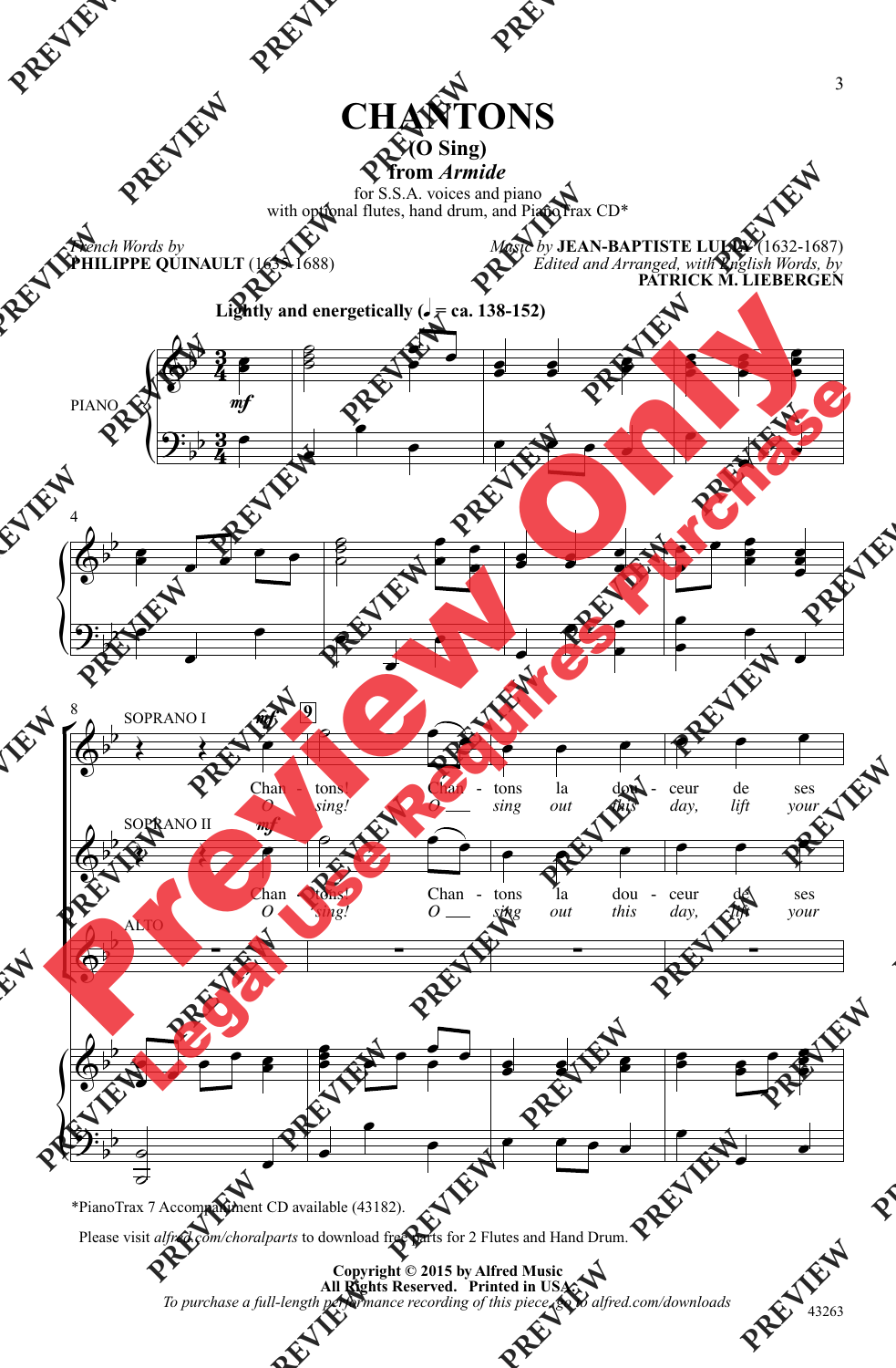## **(O Sing) CHANTONS**

## **from** *Armide*

for S.S.A. voices and piano with optional flutes, hand drum, and PianoTrax CD\*

*French Words by* PHILIPPE QUINAULT (1635-1688) *Music by* **JEAN-BAPTISTE LULLY** (1632-1687) *Edited and Arranged, with English Words, by* **PATRICK M. LIEBERGEN**



<sup>\*</sup>PianoTrax 7 Accompaniment CD available (43182).

Please visit *alfred.com/choralparts* to download free parts for 2 Flutes and Hand Drum.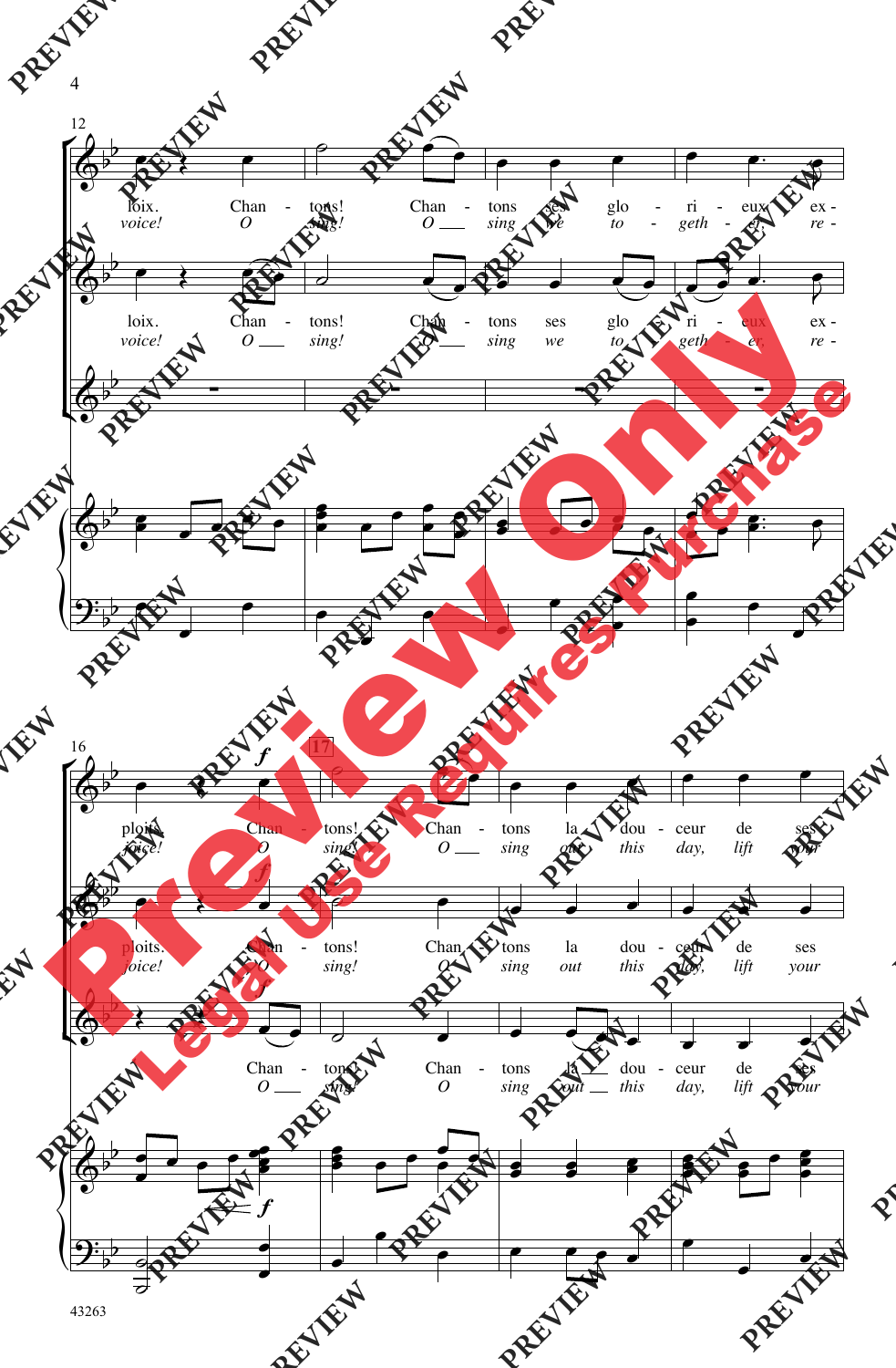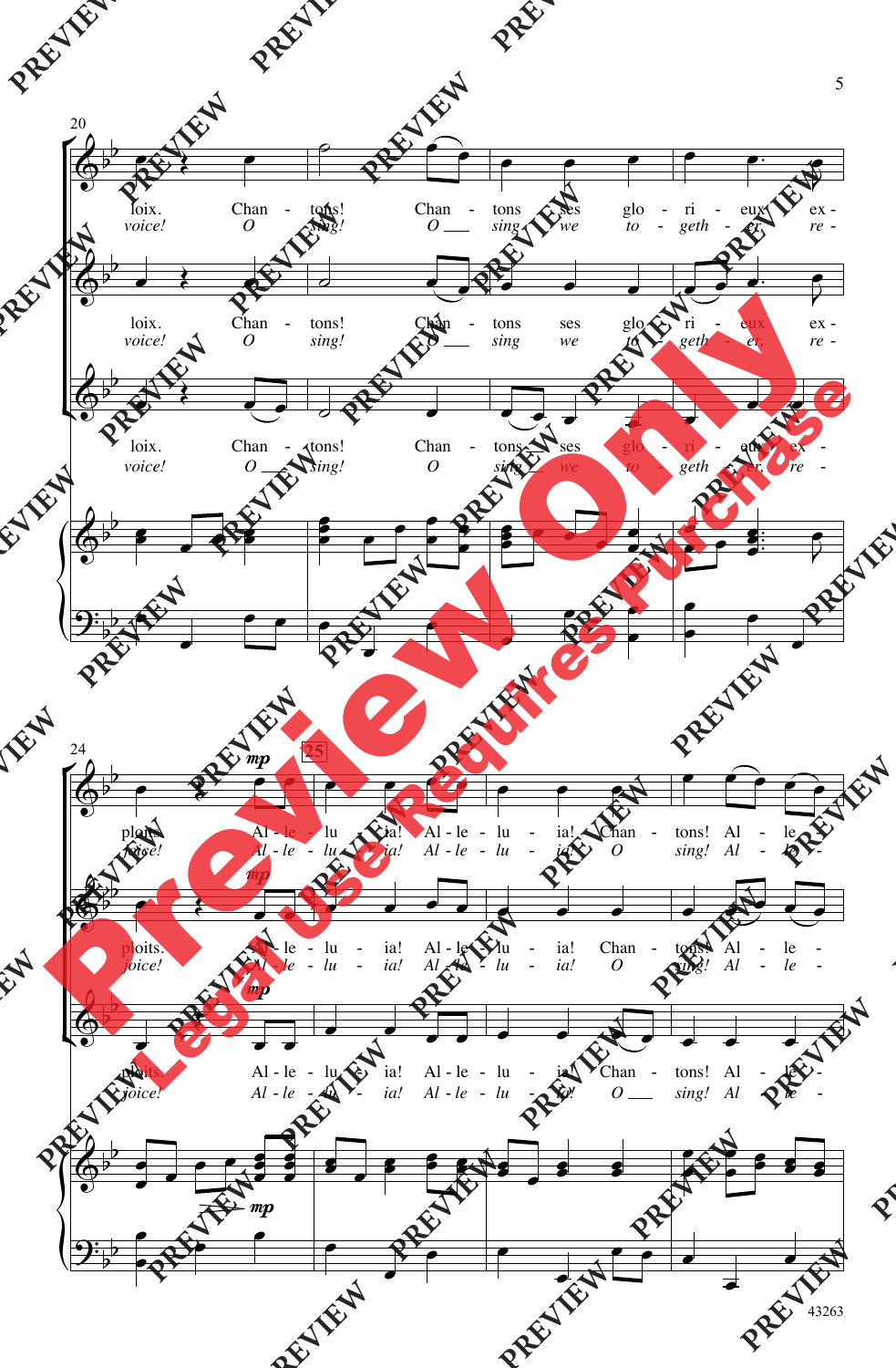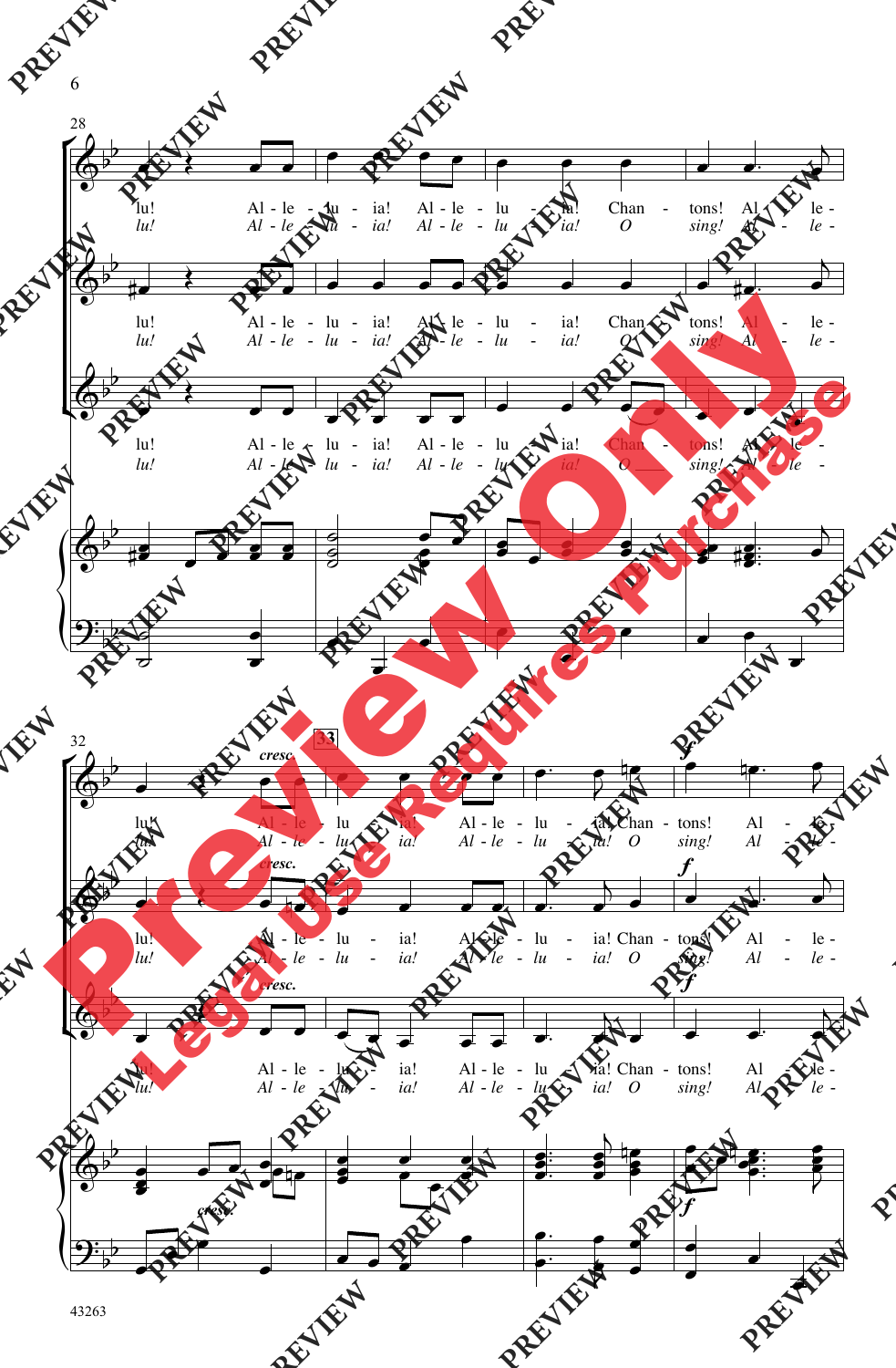![](_page_4_Figure_0.jpeg)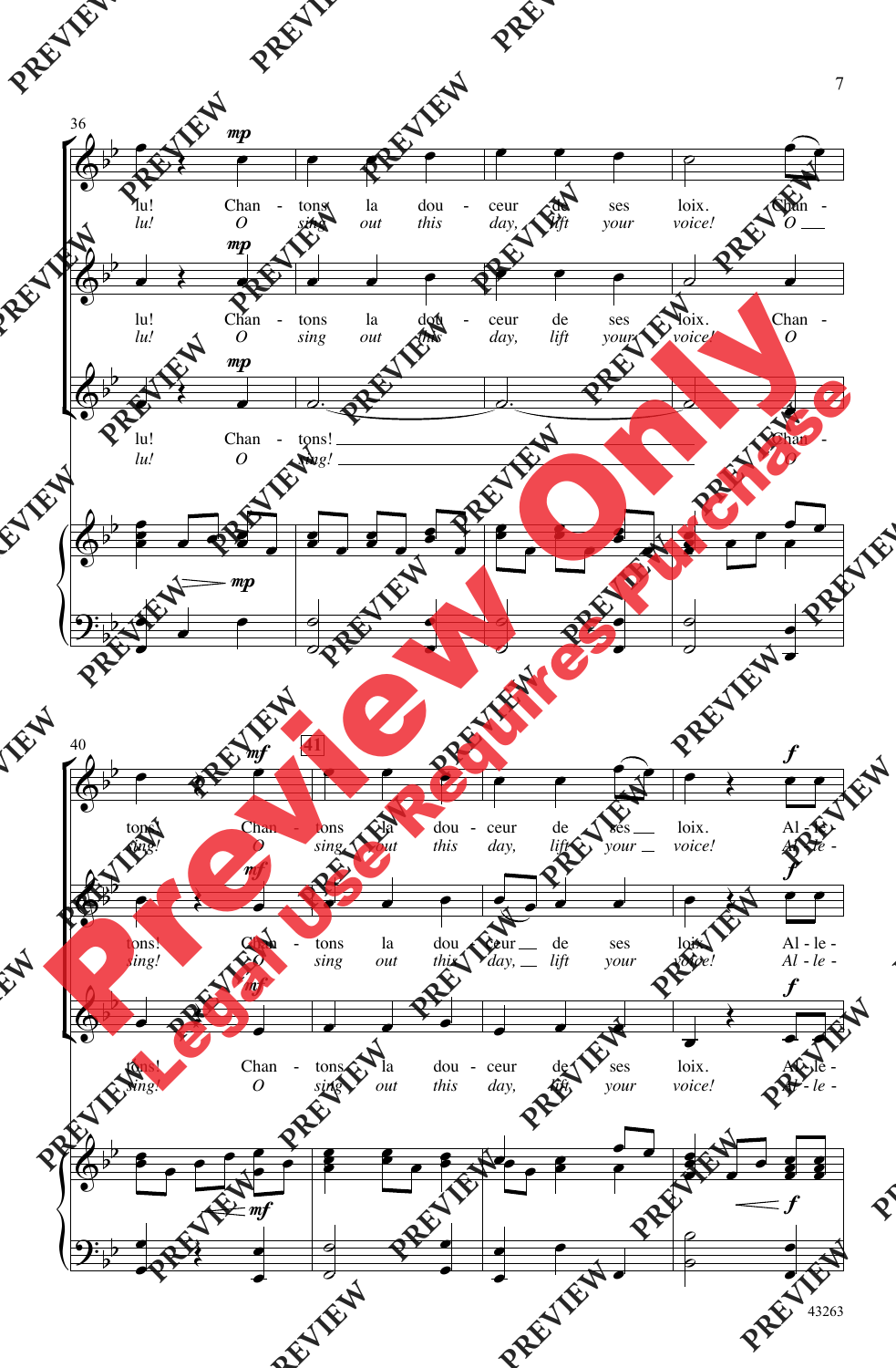![](_page_5_Figure_0.jpeg)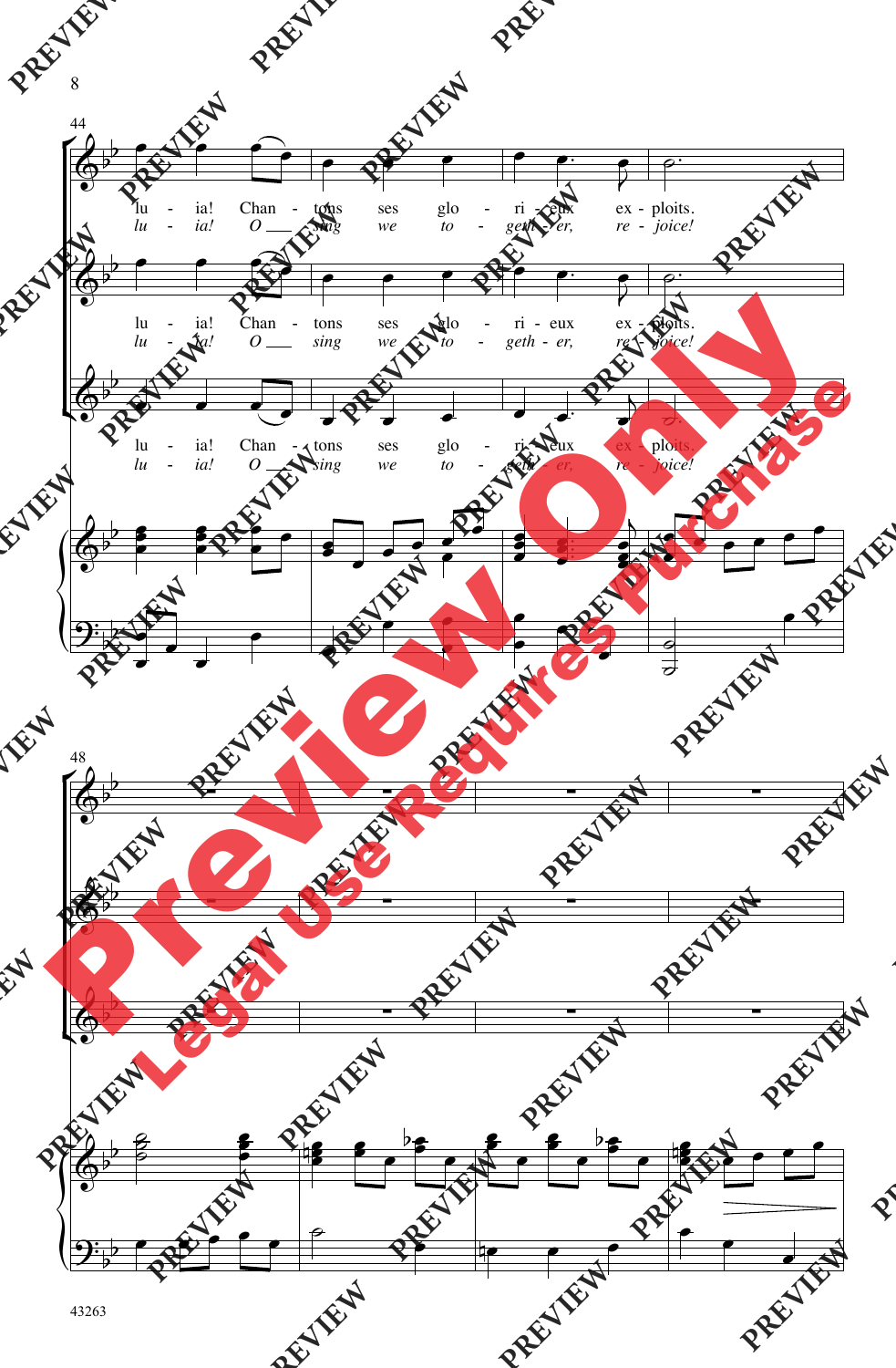![](_page_6_Figure_0.jpeg)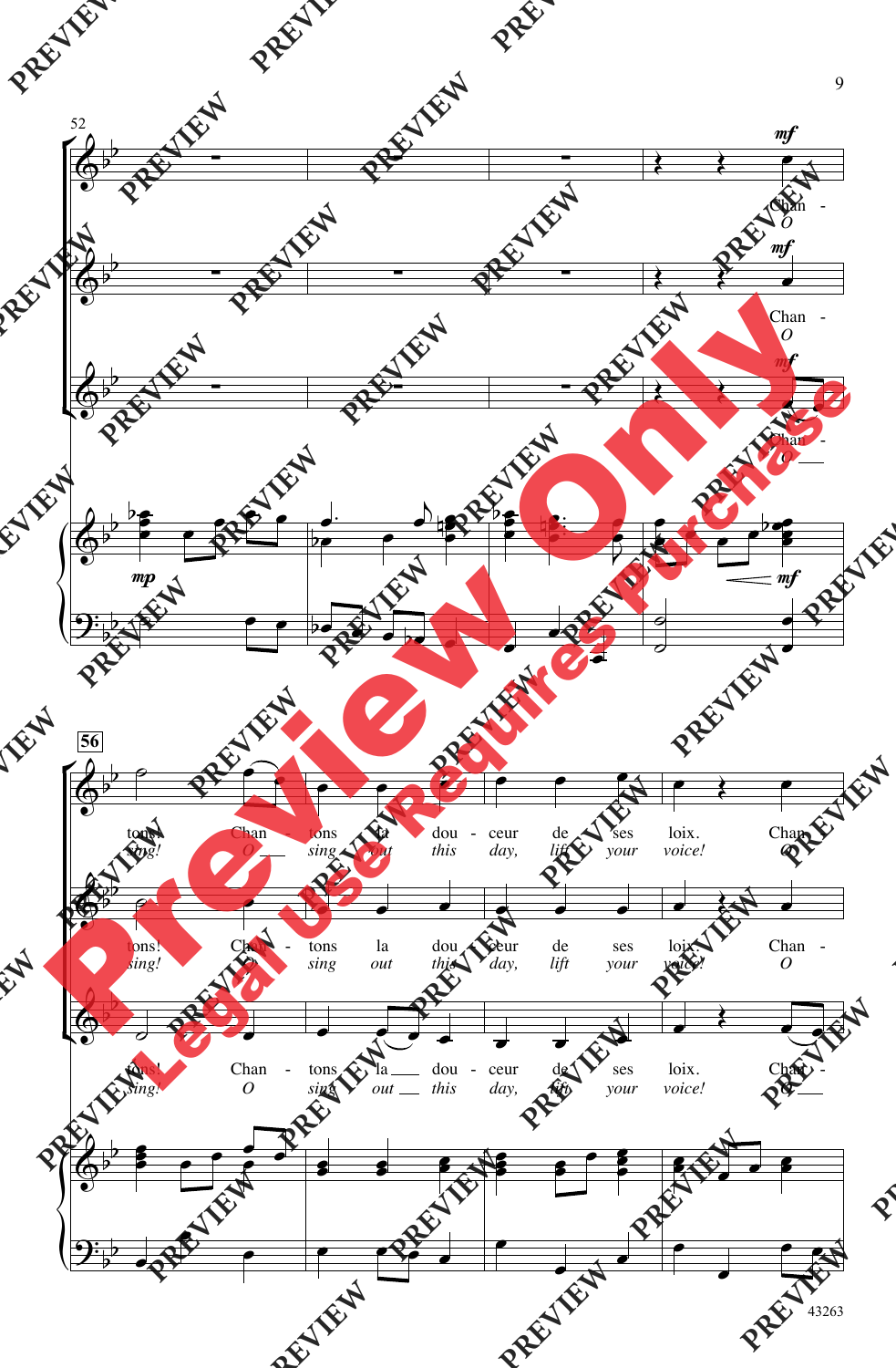![](_page_7_Figure_0.jpeg)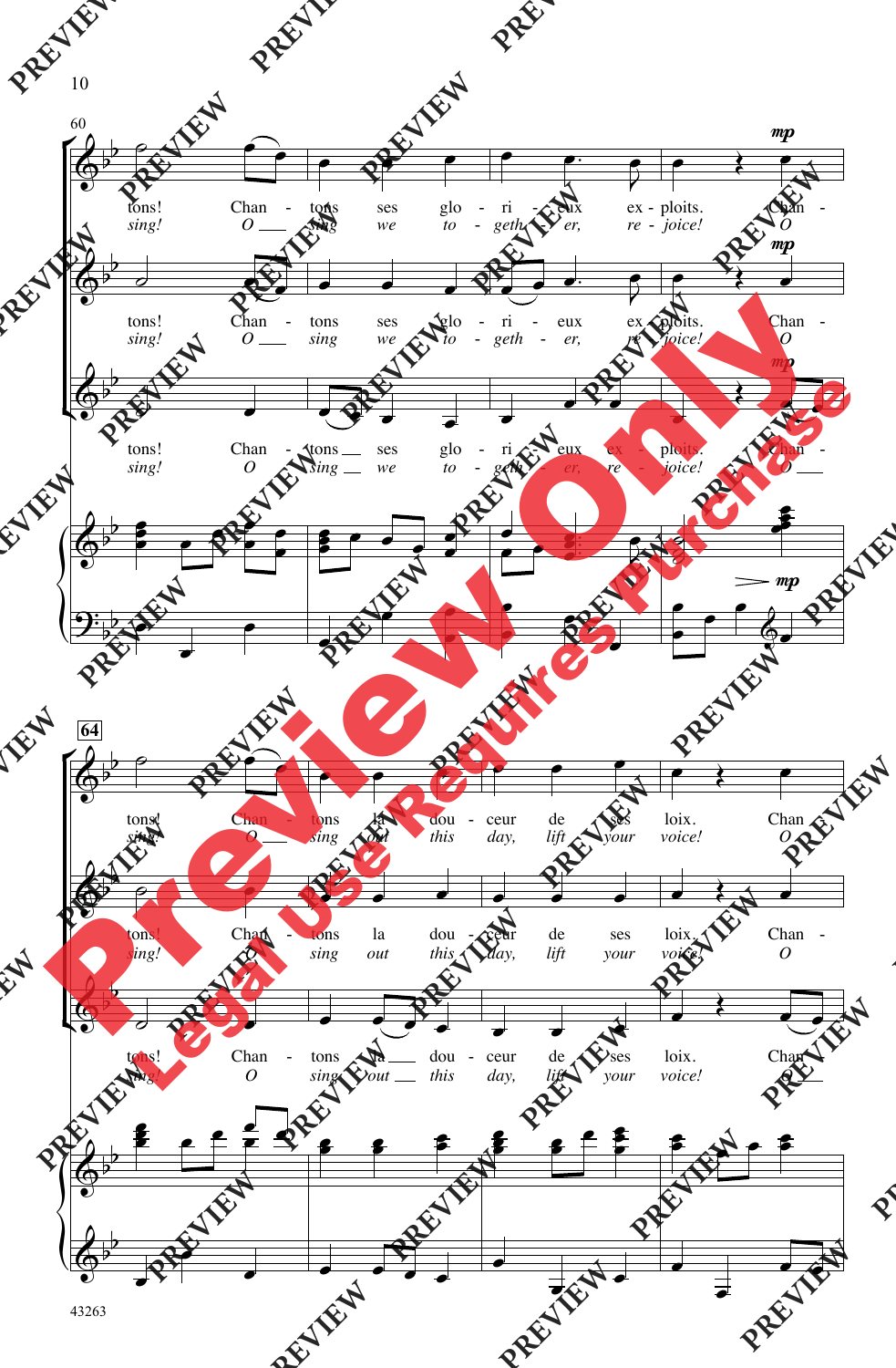![](_page_8_Figure_0.jpeg)